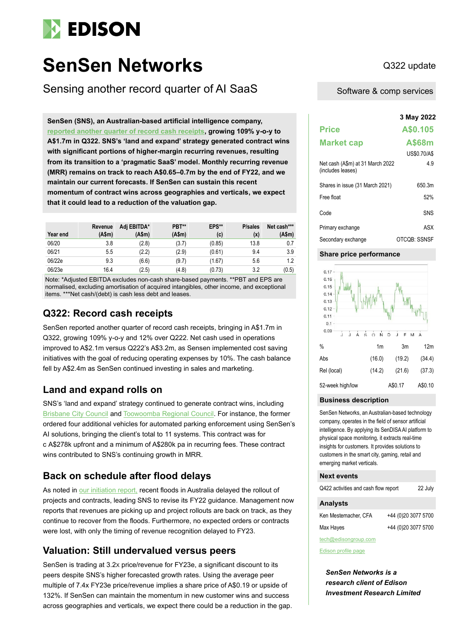

# **SenSen Networks** Q322 update

Sensing another record quarter of AI SaaS

**3 May 2022 SenSen (SNS), an Australian-based artificial intelligence company, [reported another quarter of record cash receipts,](https://sensen.ai/wp-content/uploads/2022/04/Quarterly-Activities-and-Cashflow-Report-March-2022.pdf) growing 109% y-o-y to A\$1.7m in Q322. SNS's 'land and expand' strategy generated contract wins with significant portions of higher-margin recurring revenues, resulting from its transition to a 'pragmatic SaaS' model. Monthly recurring revenue (MRR) remains on track to reach A\$0.65–0.7m by the end of FY22, and we maintain our current forecasts. If SenSen can sustain this recent momentum of contract wins across geographies and verticals, we expect that it could lead to a reduction of the valuation gap.**

| Year end | Revenue<br>(Asm) | Adi EBITDA*<br>(Asm) | PBT**<br>(A\$m) | EPS**<br>(c) | <b>P</b> /sales<br>(x) | Net cash***<br>(A\$m) |
|----------|------------------|----------------------|-----------------|--------------|------------------------|-----------------------|
| 06/20    | 3.8              | (2.8)                | (3.7)           | (0.85)       | 13.8                   | 0.7                   |
| 06/21    | 5.5              | (2.2)                | (2.9)           | (0.61)       | 9.4                    | 3.9                   |
| 06/22e   | 9.3              | (6.6)                | (9.7)           | (1.67)       | 5.6                    | 1.2                   |
| 06/23e   | 16.4             | (2.5)                | (4.8)           | (0.73)       | 3.2                    | (0.5)                 |

Note: \*Adjusted EBITDA excludes non-cash share-based payments. \*\*PBT and EPS are normalised, excluding amortisation of acquired intangibles, other income, and exceptional items. \*\*\*Net cash/(debt) is cash less debt and leases

# **Q322: Record cash receipts**

SenSen reported another quarter of record cash receipts, bringing in A\$1.7m in Q322, growing 109% y-o-y and 12% over Q222. Net cash used in operations improved to A\$2.1m versus Q222's A\$3.2m, as Sensen implemented cost saving initiatives with the goal of reducing operating expenses by 10%. The cash balance fell by A\$2.4m as SenSen continued investing in sales and marketing.

# **Land and expand rolls on**

SNS's 'land and expand' strategy continued to generate contract wins, including [Brisbane City Council](https://sensen.ai/wp-content/uploads/2022/04/SNS-Brisbane-City-Council-Orders-Additional-Services-from-SenSen.pdf) an[d Toowoomba Regional Council.](https://sensen.ai/wp-content/uploads/2022/02/SenSen-Wins-Multi-Year-Contract-with-Toowoomba-Council.pdf) For instance, the former ordered four additional vehicles for automated parking enforcement using SenSen's AI solutions, bringing the client's total to 11 systems. This contract was for c A\$278k upfront and a minimum of A\$280k pa in recurring fees. These contract wins contributed to SNS's continuing growth in MRR.

# **Back on schedule after flood delays**

As noted in [our initiation report,](https://www.edisongroup.com/publication/sensor-ai-that-generates-real-time-insights/30696/) recent floods in Australia delayed the rollout of projects and contracts, leading SNS to revise its FY22 guidance. Management now reports that revenues are picking up and project rollouts are back on track, as they continue to recover from the floods. Furthermore, no expected orders or contracts were lost, with only the timing of revenue recognition delayed to FY23.

# **Valuation: Still undervalued versus peers**

SenSen is trading at 3.2X price/revenue for FY23e, a significant discount to its peers despite SNS's higher forecasted growth rates. Using the average peer multiple of 7.4x FY23e price/revenue implies a share price of A\$0.19 or upside of 132%. If SenSen can maintain the momentum in new customer wins and success across geographies and verticals, we expect there could be a reduction in the gap.

Software & comp services

|                                                       | 3 May 2022   |
|-------------------------------------------------------|--------------|
| <b>Price</b>                                          | A\$0.105     |
| <b>Market cap</b>                                     | A\$68m       |
|                                                       | US\$0.70/A\$ |
| Net cash (A\$m) at 31 March 2022<br>(includes leases) | 4.9          |
| Shares in issue (31 March 2021)                       | 650.3m       |
| Free float                                            | 52%          |
| Code                                                  | SNS          |
| Primary exchange                                      | ASX          |
| Secondary exchange                                    | OTCQB: SSNSF |

## **Share price performance**



## **Business description**

SenSen Networks, an Australian-based technology company, operates in the field of sensor artificial intelligence. By applying its SenDISA AI platform to physical space monitoring, it extracts real-time insights for customers. It provides solutions to customers in the smart city, gaming, retail and emerging market verticals.

## **Next events**

| Q422 activities and cash flow report | 22 July             |
|--------------------------------------|---------------------|
| <b>Analysts</b>                      |                     |
| Ken Mestemacher, CFA                 | +44 (0)20 3077 5700 |

Max Hayes +44 (0)20 3077 5700

```
tech@edisongroup.com
```
[Edison profile page](https://www.edisongroup.com/company/sensen-networks/)

*SenSen Networks is a research client of Edison Investment Research Limited*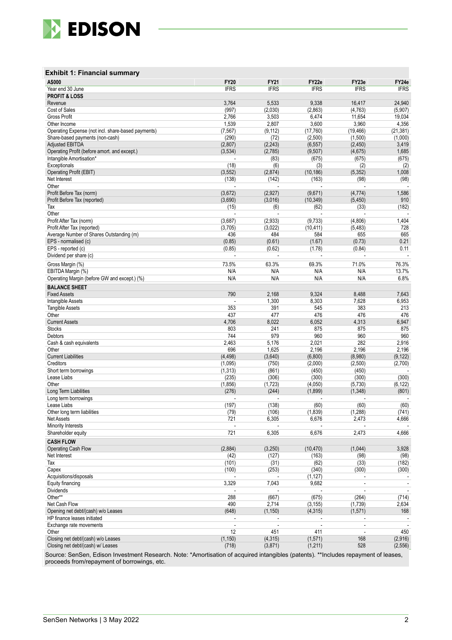

## **Exhibit 1: Financial summary**

| <b>IFRS</b><br><b>IFRS</b><br><b>IFRS</b><br><b>IFRS</b><br>Year end 30 June<br><b>IFRS</b><br><b>PROFIT &amp; LOSS</b><br>3,764<br>5,533<br>9,338<br>16,417<br>24,940<br>Revenue<br>(997)<br>Cost of Sales<br>(2,030)<br>(2,863)<br>(4, 763)<br>(5,907)<br>3,503<br>Gross Profit<br>2,766<br>6,474<br>11,654<br>19,034<br>2,807<br>3,600<br>3,960<br>4,356<br>Other Income<br>1,539<br>Operating Expense (not incl. share-based payments)<br>(7, 567)<br>(9, 112)<br>(17, 760)<br>(19, 466)<br>(21, 381)<br>(290)<br>(72)<br>(2,500)<br>(1,500)<br>(1,000)<br>Share-based payments (non-cash)<br><b>Adjusted EBITDA</b><br>(2,807)<br>(2, 243)<br>(6, 557)<br>(2, 450)<br>3,419<br>(3,534)<br>(2,785)<br>(9, 507)<br>(4,675)<br>1,685<br>Operating Profit (before amort. and except.)<br>Intangible Amortisation*<br>(83)<br>(675)<br>(675)<br>(675)<br>(18)<br>(6)<br>(3)<br>Exceptionals<br>(2)<br>(2)<br>Operating Profit (EBIT)<br>(3, 552)<br>(2,874)<br>(10, 186)<br>(5, 352)<br>1,008<br>(138)<br>(142)<br>(98)<br>Net Interest<br>(163)<br>(98)<br>Other<br>(3,672)<br>(2, 927)<br>(9,671)<br>(4, 774)<br>Profit Before Tax (norm)<br>1,586<br>910<br>Profit Before Tax (reported)<br>(3,690)<br>(3,016)<br>(10, 349)<br>(5, 450)<br>(6)<br>(33)<br>(182)<br>(15)<br>(62)<br>Tax<br>Other<br>(3,687)<br>(2,933)<br>(9,733)<br>(4,806)<br>1,404<br>Profit After Tax (norm)<br>728<br>Profit After Tax (reported)<br>(3,705)<br>(3,022)<br>(10, 411)<br>(5, 483)<br>436<br>484<br>584<br>665<br>Average Number of Shares Outstanding (m)<br>655<br>EPS - normalised (c)<br>(0.85)<br>(0.61)<br>(1.67)<br>(0.73)<br>0.21<br>EPS - reported (c)<br>(0.85)<br>(0.62)<br>(1.78)<br>(0.84)<br>0.11<br>Dividend per share (c)<br>69.3%<br>73.5%<br>63.3%<br>71.0%<br>76.3%<br>Gross Margin (%)<br>N/A<br>13.7%<br>EBITDA Margin (%)<br>N/A<br>N/A<br>N/A<br>N/A<br>N/A<br>N/A<br>N/A<br>6.8%<br>Operating Margin (before GW and except.) (%)<br><b>BALANCE SHEET</b><br><b>Fixed Assets</b><br>790<br>2,168<br>9,324<br>8,488<br>7,643<br>8,303<br>1,300<br>7,628<br>6,953<br>Intangible Assets<br>391<br>383<br>213<br>353<br>545<br><b>Tangible Assets</b><br>476<br>Other<br>437<br>477<br>476<br>476<br><b>Current Assets</b><br>4,706<br>8,022<br>6,052<br>4,313<br>6,947<br><b>Stocks</b><br>803<br>241<br>875<br>875<br>875<br>979<br>960<br>960<br>744<br>960<br>Debtors<br>2,463<br>2,021<br>282<br>2,916<br>5,176<br>Cash & cash equivalents<br>696<br>1,625<br>2,196<br>2,196<br>2,196<br>Other<br><b>Current Liabilities</b><br>(4, 498)<br>(3,640)<br>(6,800)<br>(8,980)<br>(9, 122)<br>(2,500)<br>Creditors<br>(1,095)<br>(750)<br>(2,000)<br>(2,700)<br>(1, 313)<br>(861)<br>(450)<br>(450)<br>Short term borrowings<br>Lease Liabs<br>(235)<br>(306)<br>(300)<br>(300)<br>(300)<br>(4,050)<br>Other<br>(1, 856)<br>(1, 723)<br>(5,730)<br>(6, 122)<br>Long Term Liabilities<br>(1,899)<br>(276)<br>(244)<br>(1, 348)<br>(801)<br>Long term borrowings<br>Lease Liabs<br>(197)<br>(138)<br>(60)<br>(60)<br>(60)<br>(79)<br>(106)<br>(1,839)<br>(741)<br>(1,288)<br>Other long term liabilities<br>Net Assets<br>721<br>6,305<br>6,676<br>2,473<br>4,666<br>Minority Interests<br>721<br>Shareholder equity<br>6,305<br>6,676<br>2,473<br>4,666<br><b>CASH FLOW</b><br>(2,884)<br>(3,250)<br>(1,044)<br>3,928<br><b>Operating Cash Flow</b><br>(10, 470)<br>Net Interest<br>(98)<br>(42)<br>(127)<br>(163)<br>(98)<br>(62)<br>(101)<br>(31)<br>(33)<br>(182)<br>Tax<br>Capex<br>(340)<br>(300)<br>(100)<br>(253)<br>(300)<br>Acquisitions/disposals<br>(1, 127)<br>$\overline{\phantom{a}}$<br>Equity financing<br>3,329<br>7,043<br>9,682<br>$\bar{\phantom{a}}$<br>$\overline{\phantom{a}}$<br><b>Dividends</b><br>$\overline{a}$<br>$\mathbf{r}$<br>$\omega$<br>$\sim$<br>Other**<br>288<br>(667)<br>(714)<br>(675)<br>(264)<br>490<br>2,634<br>Net Cash Flow<br>2,714<br>(3, 155)<br>(1,739)<br>Opening net debt/(cash) w/o Leases<br>(648)<br>(1, 150)<br>(4, 315)<br>(1,571)<br>168<br>HP finance leases initiated<br>$\sim$<br>÷,<br>$\blacksquare$<br>Exchange rate movements<br>$\overline{a}$<br>÷,<br>$\blacksquare$<br>$\blacksquare$<br>$\sim$<br>450<br>12<br>451<br>411<br>Other<br>$\blacksquare$<br>(1, 571)<br>(2,916)<br>Closing net debt/(cash) w/o Leases<br>(1, 150)<br>(4, 315)<br>168 | A\$000                            | <b>FY20</b> | <b>FY21</b> | FY22e    | FY23e | FY24e    |
|------------------------------------------------------------------------------------------------------------------------------------------------------------------------------------------------------------------------------------------------------------------------------------------------------------------------------------------------------------------------------------------------------------------------------------------------------------------------------------------------------------------------------------------------------------------------------------------------------------------------------------------------------------------------------------------------------------------------------------------------------------------------------------------------------------------------------------------------------------------------------------------------------------------------------------------------------------------------------------------------------------------------------------------------------------------------------------------------------------------------------------------------------------------------------------------------------------------------------------------------------------------------------------------------------------------------------------------------------------------------------------------------------------------------------------------------------------------------------------------------------------------------------------------------------------------------------------------------------------------------------------------------------------------------------------------------------------------------------------------------------------------------------------------------------------------------------------------------------------------------------------------------------------------------------------------------------------------------------------------------------------------------------------------------------------------------------------------------------------------------------------------------------------------------------------------------------------------------------------------------------------------------------------------------------------------------------------------------------------------------------------------------------------------------------------------------------------------------------------------------------------------------------------------------------------------------------------------------------------------------------------------------------------------------------------------------------------------------------------------------------------------------------------------------------------------------------------------------------------------------------------------------------------------------------------------------------------------------------------------------------------------------------------------------------------------------------------------------------------------------------------------------------------------------------------------------------------------------------------------------------------------------------------------------------------------------------------------------------------------------------------------------------------------------------------------------------------------------------------------------------------------------------------------------------------------------------------------------------------------------------------------------------------------------------------------------------------------------------------------------------------------------------------------------------------------------------------------------------------------------------------------------------------------------------------------------------------------------------------------------------------------------------------------------------------------------------------------------------------------------------------------------------------------------------------------------------------------------------------------------------------------------------------------------------------------------------|-----------------------------------|-------------|-------------|----------|-------|----------|
|                                                                                                                                                                                                                                                                                                                                                                                                                                                                                                                                                                                                                                                                                                                                                                                                                                                                                                                                                                                                                                                                                                                                                                                                                                                                                                                                                                                                                                                                                                                                                                                                                                                                                                                                                                                                                                                                                                                                                                                                                                                                                                                                                                                                                                                                                                                                                                                                                                                                                                                                                                                                                                                                                                                                                                                                                                                                                                                                                                                                                                                                                                                                                                                                                                                                                                                                                                                                                                                                                                                                                                                                                                                                                                                                                                                                                                                                                                                                                                                                                                                                                                                                                                                                                                                                                                                              |                                   |             |             |          |       |          |
|                                                                                                                                                                                                                                                                                                                                                                                                                                                                                                                                                                                                                                                                                                                                                                                                                                                                                                                                                                                                                                                                                                                                                                                                                                                                                                                                                                                                                                                                                                                                                                                                                                                                                                                                                                                                                                                                                                                                                                                                                                                                                                                                                                                                                                                                                                                                                                                                                                                                                                                                                                                                                                                                                                                                                                                                                                                                                                                                                                                                                                                                                                                                                                                                                                                                                                                                                                                                                                                                                                                                                                                                                                                                                                                                                                                                                                                                                                                                                                                                                                                                                                                                                                                                                                                                                                                              |                                   |             |             |          |       |          |
|                                                                                                                                                                                                                                                                                                                                                                                                                                                                                                                                                                                                                                                                                                                                                                                                                                                                                                                                                                                                                                                                                                                                                                                                                                                                                                                                                                                                                                                                                                                                                                                                                                                                                                                                                                                                                                                                                                                                                                                                                                                                                                                                                                                                                                                                                                                                                                                                                                                                                                                                                                                                                                                                                                                                                                                                                                                                                                                                                                                                                                                                                                                                                                                                                                                                                                                                                                                                                                                                                                                                                                                                                                                                                                                                                                                                                                                                                                                                                                                                                                                                                                                                                                                                                                                                                                                              |                                   |             |             |          |       |          |
|                                                                                                                                                                                                                                                                                                                                                                                                                                                                                                                                                                                                                                                                                                                                                                                                                                                                                                                                                                                                                                                                                                                                                                                                                                                                                                                                                                                                                                                                                                                                                                                                                                                                                                                                                                                                                                                                                                                                                                                                                                                                                                                                                                                                                                                                                                                                                                                                                                                                                                                                                                                                                                                                                                                                                                                                                                                                                                                                                                                                                                                                                                                                                                                                                                                                                                                                                                                                                                                                                                                                                                                                                                                                                                                                                                                                                                                                                                                                                                                                                                                                                                                                                                                                                                                                                                                              |                                   |             |             |          |       |          |
|                                                                                                                                                                                                                                                                                                                                                                                                                                                                                                                                                                                                                                                                                                                                                                                                                                                                                                                                                                                                                                                                                                                                                                                                                                                                                                                                                                                                                                                                                                                                                                                                                                                                                                                                                                                                                                                                                                                                                                                                                                                                                                                                                                                                                                                                                                                                                                                                                                                                                                                                                                                                                                                                                                                                                                                                                                                                                                                                                                                                                                                                                                                                                                                                                                                                                                                                                                                                                                                                                                                                                                                                                                                                                                                                                                                                                                                                                                                                                                                                                                                                                                                                                                                                                                                                                                                              |                                   |             |             |          |       |          |
|                                                                                                                                                                                                                                                                                                                                                                                                                                                                                                                                                                                                                                                                                                                                                                                                                                                                                                                                                                                                                                                                                                                                                                                                                                                                                                                                                                                                                                                                                                                                                                                                                                                                                                                                                                                                                                                                                                                                                                                                                                                                                                                                                                                                                                                                                                                                                                                                                                                                                                                                                                                                                                                                                                                                                                                                                                                                                                                                                                                                                                                                                                                                                                                                                                                                                                                                                                                                                                                                                                                                                                                                                                                                                                                                                                                                                                                                                                                                                                                                                                                                                                                                                                                                                                                                                                                              |                                   |             |             |          |       |          |
|                                                                                                                                                                                                                                                                                                                                                                                                                                                                                                                                                                                                                                                                                                                                                                                                                                                                                                                                                                                                                                                                                                                                                                                                                                                                                                                                                                                                                                                                                                                                                                                                                                                                                                                                                                                                                                                                                                                                                                                                                                                                                                                                                                                                                                                                                                                                                                                                                                                                                                                                                                                                                                                                                                                                                                                                                                                                                                                                                                                                                                                                                                                                                                                                                                                                                                                                                                                                                                                                                                                                                                                                                                                                                                                                                                                                                                                                                                                                                                                                                                                                                                                                                                                                                                                                                                                              |                                   |             |             |          |       |          |
|                                                                                                                                                                                                                                                                                                                                                                                                                                                                                                                                                                                                                                                                                                                                                                                                                                                                                                                                                                                                                                                                                                                                                                                                                                                                                                                                                                                                                                                                                                                                                                                                                                                                                                                                                                                                                                                                                                                                                                                                                                                                                                                                                                                                                                                                                                                                                                                                                                                                                                                                                                                                                                                                                                                                                                                                                                                                                                                                                                                                                                                                                                                                                                                                                                                                                                                                                                                                                                                                                                                                                                                                                                                                                                                                                                                                                                                                                                                                                                                                                                                                                                                                                                                                                                                                                                                              |                                   |             |             |          |       |          |
|                                                                                                                                                                                                                                                                                                                                                                                                                                                                                                                                                                                                                                                                                                                                                                                                                                                                                                                                                                                                                                                                                                                                                                                                                                                                                                                                                                                                                                                                                                                                                                                                                                                                                                                                                                                                                                                                                                                                                                                                                                                                                                                                                                                                                                                                                                                                                                                                                                                                                                                                                                                                                                                                                                                                                                                                                                                                                                                                                                                                                                                                                                                                                                                                                                                                                                                                                                                                                                                                                                                                                                                                                                                                                                                                                                                                                                                                                                                                                                                                                                                                                                                                                                                                                                                                                                                              |                                   |             |             |          |       |          |
|                                                                                                                                                                                                                                                                                                                                                                                                                                                                                                                                                                                                                                                                                                                                                                                                                                                                                                                                                                                                                                                                                                                                                                                                                                                                                                                                                                                                                                                                                                                                                                                                                                                                                                                                                                                                                                                                                                                                                                                                                                                                                                                                                                                                                                                                                                                                                                                                                                                                                                                                                                                                                                                                                                                                                                                                                                                                                                                                                                                                                                                                                                                                                                                                                                                                                                                                                                                                                                                                                                                                                                                                                                                                                                                                                                                                                                                                                                                                                                                                                                                                                                                                                                                                                                                                                                                              |                                   |             |             |          |       |          |
|                                                                                                                                                                                                                                                                                                                                                                                                                                                                                                                                                                                                                                                                                                                                                                                                                                                                                                                                                                                                                                                                                                                                                                                                                                                                                                                                                                                                                                                                                                                                                                                                                                                                                                                                                                                                                                                                                                                                                                                                                                                                                                                                                                                                                                                                                                                                                                                                                                                                                                                                                                                                                                                                                                                                                                                                                                                                                                                                                                                                                                                                                                                                                                                                                                                                                                                                                                                                                                                                                                                                                                                                                                                                                                                                                                                                                                                                                                                                                                                                                                                                                                                                                                                                                                                                                                                              |                                   |             |             |          |       |          |
|                                                                                                                                                                                                                                                                                                                                                                                                                                                                                                                                                                                                                                                                                                                                                                                                                                                                                                                                                                                                                                                                                                                                                                                                                                                                                                                                                                                                                                                                                                                                                                                                                                                                                                                                                                                                                                                                                                                                                                                                                                                                                                                                                                                                                                                                                                                                                                                                                                                                                                                                                                                                                                                                                                                                                                                                                                                                                                                                                                                                                                                                                                                                                                                                                                                                                                                                                                                                                                                                                                                                                                                                                                                                                                                                                                                                                                                                                                                                                                                                                                                                                                                                                                                                                                                                                                                              |                                   |             |             |          |       |          |
|                                                                                                                                                                                                                                                                                                                                                                                                                                                                                                                                                                                                                                                                                                                                                                                                                                                                                                                                                                                                                                                                                                                                                                                                                                                                                                                                                                                                                                                                                                                                                                                                                                                                                                                                                                                                                                                                                                                                                                                                                                                                                                                                                                                                                                                                                                                                                                                                                                                                                                                                                                                                                                                                                                                                                                                                                                                                                                                                                                                                                                                                                                                                                                                                                                                                                                                                                                                                                                                                                                                                                                                                                                                                                                                                                                                                                                                                                                                                                                                                                                                                                                                                                                                                                                                                                                                              |                                   |             |             |          |       |          |
|                                                                                                                                                                                                                                                                                                                                                                                                                                                                                                                                                                                                                                                                                                                                                                                                                                                                                                                                                                                                                                                                                                                                                                                                                                                                                                                                                                                                                                                                                                                                                                                                                                                                                                                                                                                                                                                                                                                                                                                                                                                                                                                                                                                                                                                                                                                                                                                                                                                                                                                                                                                                                                                                                                                                                                                                                                                                                                                                                                                                                                                                                                                                                                                                                                                                                                                                                                                                                                                                                                                                                                                                                                                                                                                                                                                                                                                                                                                                                                                                                                                                                                                                                                                                                                                                                                                              |                                   |             |             |          |       |          |
|                                                                                                                                                                                                                                                                                                                                                                                                                                                                                                                                                                                                                                                                                                                                                                                                                                                                                                                                                                                                                                                                                                                                                                                                                                                                                                                                                                                                                                                                                                                                                                                                                                                                                                                                                                                                                                                                                                                                                                                                                                                                                                                                                                                                                                                                                                                                                                                                                                                                                                                                                                                                                                                                                                                                                                                                                                                                                                                                                                                                                                                                                                                                                                                                                                                                                                                                                                                                                                                                                                                                                                                                                                                                                                                                                                                                                                                                                                                                                                                                                                                                                                                                                                                                                                                                                                                              |                                   |             |             |          |       |          |
|                                                                                                                                                                                                                                                                                                                                                                                                                                                                                                                                                                                                                                                                                                                                                                                                                                                                                                                                                                                                                                                                                                                                                                                                                                                                                                                                                                                                                                                                                                                                                                                                                                                                                                                                                                                                                                                                                                                                                                                                                                                                                                                                                                                                                                                                                                                                                                                                                                                                                                                                                                                                                                                                                                                                                                                                                                                                                                                                                                                                                                                                                                                                                                                                                                                                                                                                                                                                                                                                                                                                                                                                                                                                                                                                                                                                                                                                                                                                                                                                                                                                                                                                                                                                                                                                                                                              |                                   |             |             |          |       |          |
|                                                                                                                                                                                                                                                                                                                                                                                                                                                                                                                                                                                                                                                                                                                                                                                                                                                                                                                                                                                                                                                                                                                                                                                                                                                                                                                                                                                                                                                                                                                                                                                                                                                                                                                                                                                                                                                                                                                                                                                                                                                                                                                                                                                                                                                                                                                                                                                                                                                                                                                                                                                                                                                                                                                                                                                                                                                                                                                                                                                                                                                                                                                                                                                                                                                                                                                                                                                                                                                                                                                                                                                                                                                                                                                                                                                                                                                                                                                                                                                                                                                                                                                                                                                                                                                                                                                              |                                   |             |             |          |       |          |
|                                                                                                                                                                                                                                                                                                                                                                                                                                                                                                                                                                                                                                                                                                                                                                                                                                                                                                                                                                                                                                                                                                                                                                                                                                                                                                                                                                                                                                                                                                                                                                                                                                                                                                                                                                                                                                                                                                                                                                                                                                                                                                                                                                                                                                                                                                                                                                                                                                                                                                                                                                                                                                                                                                                                                                                                                                                                                                                                                                                                                                                                                                                                                                                                                                                                                                                                                                                                                                                                                                                                                                                                                                                                                                                                                                                                                                                                                                                                                                                                                                                                                                                                                                                                                                                                                                                              |                                   |             |             |          |       |          |
|                                                                                                                                                                                                                                                                                                                                                                                                                                                                                                                                                                                                                                                                                                                                                                                                                                                                                                                                                                                                                                                                                                                                                                                                                                                                                                                                                                                                                                                                                                                                                                                                                                                                                                                                                                                                                                                                                                                                                                                                                                                                                                                                                                                                                                                                                                                                                                                                                                                                                                                                                                                                                                                                                                                                                                                                                                                                                                                                                                                                                                                                                                                                                                                                                                                                                                                                                                                                                                                                                                                                                                                                                                                                                                                                                                                                                                                                                                                                                                                                                                                                                                                                                                                                                                                                                                                              |                                   |             |             |          |       |          |
|                                                                                                                                                                                                                                                                                                                                                                                                                                                                                                                                                                                                                                                                                                                                                                                                                                                                                                                                                                                                                                                                                                                                                                                                                                                                                                                                                                                                                                                                                                                                                                                                                                                                                                                                                                                                                                                                                                                                                                                                                                                                                                                                                                                                                                                                                                                                                                                                                                                                                                                                                                                                                                                                                                                                                                                                                                                                                                                                                                                                                                                                                                                                                                                                                                                                                                                                                                                                                                                                                                                                                                                                                                                                                                                                                                                                                                                                                                                                                                                                                                                                                                                                                                                                                                                                                                                              |                                   |             |             |          |       |          |
|                                                                                                                                                                                                                                                                                                                                                                                                                                                                                                                                                                                                                                                                                                                                                                                                                                                                                                                                                                                                                                                                                                                                                                                                                                                                                                                                                                                                                                                                                                                                                                                                                                                                                                                                                                                                                                                                                                                                                                                                                                                                                                                                                                                                                                                                                                                                                                                                                                                                                                                                                                                                                                                                                                                                                                                                                                                                                                                                                                                                                                                                                                                                                                                                                                                                                                                                                                                                                                                                                                                                                                                                                                                                                                                                                                                                                                                                                                                                                                                                                                                                                                                                                                                                                                                                                                                              |                                   |             |             |          |       |          |
|                                                                                                                                                                                                                                                                                                                                                                                                                                                                                                                                                                                                                                                                                                                                                                                                                                                                                                                                                                                                                                                                                                                                                                                                                                                                                                                                                                                                                                                                                                                                                                                                                                                                                                                                                                                                                                                                                                                                                                                                                                                                                                                                                                                                                                                                                                                                                                                                                                                                                                                                                                                                                                                                                                                                                                                                                                                                                                                                                                                                                                                                                                                                                                                                                                                                                                                                                                                                                                                                                                                                                                                                                                                                                                                                                                                                                                                                                                                                                                                                                                                                                                                                                                                                                                                                                                                              |                                   |             |             |          |       |          |
|                                                                                                                                                                                                                                                                                                                                                                                                                                                                                                                                                                                                                                                                                                                                                                                                                                                                                                                                                                                                                                                                                                                                                                                                                                                                                                                                                                                                                                                                                                                                                                                                                                                                                                                                                                                                                                                                                                                                                                                                                                                                                                                                                                                                                                                                                                                                                                                                                                                                                                                                                                                                                                                                                                                                                                                                                                                                                                                                                                                                                                                                                                                                                                                                                                                                                                                                                                                                                                                                                                                                                                                                                                                                                                                                                                                                                                                                                                                                                                                                                                                                                                                                                                                                                                                                                                                              |                                   |             |             |          |       |          |
|                                                                                                                                                                                                                                                                                                                                                                                                                                                                                                                                                                                                                                                                                                                                                                                                                                                                                                                                                                                                                                                                                                                                                                                                                                                                                                                                                                                                                                                                                                                                                                                                                                                                                                                                                                                                                                                                                                                                                                                                                                                                                                                                                                                                                                                                                                                                                                                                                                                                                                                                                                                                                                                                                                                                                                                                                                                                                                                                                                                                                                                                                                                                                                                                                                                                                                                                                                                                                                                                                                                                                                                                                                                                                                                                                                                                                                                                                                                                                                                                                                                                                                                                                                                                                                                                                                                              |                                   |             |             |          |       |          |
|                                                                                                                                                                                                                                                                                                                                                                                                                                                                                                                                                                                                                                                                                                                                                                                                                                                                                                                                                                                                                                                                                                                                                                                                                                                                                                                                                                                                                                                                                                                                                                                                                                                                                                                                                                                                                                                                                                                                                                                                                                                                                                                                                                                                                                                                                                                                                                                                                                                                                                                                                                                                                                                                                                                                                                                                                                                                                                                                                                                                                                                                                                                                                                                                                                                                                                                                                                                                                                                                                                                                                                                                                                                                                                                                                                                                                                                                                                                                                                                                                                                                                                                                                                                                                                                                                                                              |                                   |             |             |          |       |          |
|                                                                                                                                                                                                                                                                                                                                                                                                                                                                                                                                                                                                                                                                                                                                                                                                                                                                                                                                                                                                                                                                                                                                                                                                                                                                                                                                                                                                                                                                                                                                                                                                                                                                                                                                                                                                                                                                                                                                                                                                                                                                                                                                                                                                                                                                                                                                                                                                                                                                                                                                                                                                                                                                                                                                                                                                                                                                                                                                                                                                                                                                                                                                                                                                                                                                                                                                                                                                                                                                                                                                                                                                                                                                                                                                                                                                                                                                                                                                                                                                                                                                                                                                                                                                                                                                                                                              |                                   |             |             |          |       |          |
|                                                                                                                                                                                                                                                                                                                                                                                                                                                                                                                                                                                                                                                                                                                                                                                                                                                                                                                                                                                                                                                                                                                                                                                                                                                                                                                                                                                                                                                                                                                                                                                                                                                                                                                                                                                                                                                                                                                                                                                                                                                                                                                                                                                                                                                                                                                                                                                                                                                                                                                                                                                                                                                                                                                                                                                                                                                                                                                                                                                                                                                                                                                                                                                                                                                                                                                                                                                                                                                                                                                                                                                                                                                                                                                                                                                                                                                                                                                                                                                                                                                                                                                                                                                                                                                                                                                              |                                   |             |             |          |       |          |
|                                                                                                                                                                                                                                                                                                                                                                                                                                                                                                                                                                                                                                                                                                                                                                                                                                                                                                                                                                                                                                                                                                                                                                                                                                                                                                                                                                                                                                                                                                                                                                                                                                                                                                                                                                                                                                                                                                                                                                                                                                                                                                                                                                                                                                                                                                                                                                                                                                                                                                                                                                                                                                                                                                                                                                                                                                                                                                                                                                                                                                                                                                                                                                                                                                                                                                                                                                                                                                                                                                                                                                                                                                                                                                                                                                                                                                                                                                                                                                                                                                                                                                                                                                                                                                                                                                                              |                                   |             |             |          |       |          |
|                                                                                                                                                                                                                                                                                                                                                                                                                                                                                                                                                                                                                                                                                                                                                                                                                                                                                                                                                                                                                                                                                                                                                                                                                                                                                                                                                                                                                                                                                                                                                                                                                                                                                                                                                                                                                                                                                                                                                                                                                                                                                                                                                                                                                                                                                                                                                                                                                                                                                                                                                                                                                                                                                                                                                                                                                                                                                                                                                                                                                                                                                                                                                                                                                                                                                                                                                                                                                                                                                                                                                                                                                                                                                                                                                                                                                                                                                                                                                                                                                                                                                                                                                                                                                                                                                                                              |                                   |             |             |          |       |          |
|                                                                                                                                                                                                                                                                                                                                                                                                                                                                                                                                                                                                                                                                                                                                                                                                                                                                                                                                                                                                                                                                                                                                                                                                                                                                                                                                                                                                                                                                                                                                                                                                                                                                                                                                                                                                                                                                                                                                                                                                                                                                                                                                                                                                                                                                                                                                                                                                                                                                                                                                                                                                                                                                                                                                                                                                                                                                                                                                                                                                                                                                                                                                                                                                                                                                                                                                                                                                                                                                                                                                                                                                                                                                                                                                                                                                                                                                                                                                                                                                                                                                                                                                                                                                                                                                                                                              |                                   |             |             |          |       |          |
|                                                                                                                                                                                                                                                                                                                                                                                                                                                                                                                                                                                                                                                                                                                                                                                                                                                                                                                                                                                                                                                                                                                                                                                                                                                                                                                                                                                                                                                                                                                                                                                                                                                                                                                                                                                                                                                                                                                                                                                                                                                                                                                                                                                                                                                                                                                                                                                                                                                                                                                                                                                                                                                                                                                                                                                                                                                                                                                                                                                                                                                                                                                                                                                                                                                                                                                                                                                                                                                                                                                                                                                                                                                                                                                                                                                                                                                                                                                                                                                                                                                                                                                                                                                                                                                                                                                              |                                   |             |             |          |       |          |
|                                                                                                                                                                                                                                                                                                                                                                                                                                                                                                                                                                                                                                                                                                                                                                                                                                                                                                                                                                                                                                                                                                                                                                                                                                                                                                                                                                                                                                                                                                                                                                                                                                                                                                                                                                                                                                                                                                                                                                                                                                                                                                                                                                                                                                                                                                                                                                                                                                                                                                                                                                                                                                                                                                                                                                                                                                                                                                                                                                                                                                                                                                                                                                                                                                                                                                                                                                                                                                                                                                                                                                                                                                                                                                                                                                                                                                                                                                                                                                                                                                                                                                                                                                                                                                                                                                                              |                                   |             |             |          |       |          |
|                                                                                                                                                                                                                                                                                                                                                                                                                                                                                                                                                                                                                                                                                                                                                                                                                                                                                                                                                                                                                                                                                                                                                                                                                                                                                                                                                                                                                                                                                                                                                                                                                                                                                                                                                                                                                                                                                                                                                                                                                                                                                                                                                                                                                                                                                                                                                                                                                                                                                                                                                                                                                                                                                                                                                                                                                                                                                                                                                                                                                                                                                                                                                                                                                                                                                                                                                                                                                                                                                                                                                                                                                                                                                                                                                                                                                                                                                                                                                                                                                                                                                                                                                                                                                                                                                                                              |                                   |             |             |          |       |          |
|                                                                                                                                                                                                                                                                                                                                                                                                                                                                                                                                                                                                                                                                                                                                                                                                                                                                                                                                                                                                                                                                                                                                                                                                                                                                                                                                                                                                                                                                                                                                                                                                                                                                                                                                                                                                                                                                                                                                                                                                                                                                                                                                                                                                                                                                                                                                                                                                                                                                                                                                                                                                                                                                                                                                                                                                                                                                                                                                                                                                                                                                                                                                                                                                                                                                                                                                                                                                                                                                                                                                                                                                                                                                                                                                                                                                                                                                                                                                                                                                                                                                                                                                                                                                                                                                                                                              |                                   |             |             |          |       |          |
|                                                                                                                                                                                                                                                                                                                                                                                                                                                                                                                                                                                                                                                                                                                                                                                                                                                                                                                                                                                                                                                                                                                                                                                                                                                                                                                                                                                                                                                                                                                                                                                                                                                                                                                                                                                                                                                                                                                                                                                                                                                                                                                                                                                                                                                                                                                                                                                                                                                                                                                                                                                                                                                                                                                                                                                                                                                                                                                                                                                                                                                                                                                                                                                                                                                                                                                                                                                                                                                                                                                                                                                                                                                                                                                                                                                                                                                                                                                                                                                                                                                                                                                                                                                                                                                                                                                              |                                   |             |             |          |       |          |
|                                                                                                                                                                                                                                                                                                                                                                                                                                                                                                                                                                                                                                                                                                                                                                                                                                                                                                                                                                                                                                                                                                                                                                                                                                                                                                                                                                                                                                                                                                                                                                                                                                                                                                                                                                                                                                                                                                                                                                                                                                                                                                                                                                                                                                                                                                                                                                                                                                                                                                                                                                                                                                                                                                                                                                                                                                                                                                                                                                                                                                                                                                                                                                                                                                                                                                                                                                                                                                                                                                                                                                                                                                                                                                                                                                                                                                                                                                                                                                                                                                                                                                                                                                                                                                                                                                                              |                                   |             |             |          |       |          |
|                                                                                                                                                                                                                                                                                                                                                                                                                                                                                                                                                                                                                                                                                                                                                                                                                                                                                                                                                                                                                                                                                                                                                                                                                                                                                                                                                                                                                                                                                                                                                                                                                                                                                                                                                                                                                                                                                                                                                                                                                                                                                                                                                                                                                                                                                                                                                                                                                                                                                                                                                                                                                                                                                                                                                                                                                                                                                                                                                                                                                                                                                                                                                                                                                                                                                                                                                                                                                                                                                                                                                                                                                                                                                                                                                                                                                                                                                                                                                                                                                                                                                                                                                                                                                                                                                                                              |                                   |             |             |          |       |          |
|                                                                                                                                                                                                                                                                                                                                                                                                                                                                                                                                                                                                                                                                                                                                                                                                                                                                                                                                                                                                                                                                                                                                                                                                                                                                                                                                                                                                                                                                                                                                                                                                                                                                                                                                                                                                                                                                                                                                                                                                                                                                                                                                                                                                                                                                                                                                                                                                                                                                                                                                                                                                                                                                                                                                                                                                                                                                                                                                                                                                                                                                                                                                                                                                                                                                                                                                                                                                                                                                                                                                                                                                                                                                                                                                                                                                                                                                                                                                                                                                                                                                                                                                                                                                                                                                                                                              |                                   |             |             |          |       |          |
|                                                                                                                                                                                                                                                                                                                                                                                                                                                                                                                                                                                                                                                                                                                                                                                                                                                                                                                                                                                                                                                                                                                                                                                                                                                                                                                                                                                                                                                                                                                                                                                                                                                                                                                                                                                                                                                                                                                                                                                                                                                                                                                                                                                                                                                                                                                                                                                                                                                                                                                                                                                                                                                                                                                                                                                                                                                                                                                                                                                                                                                                                                                                                                                                                                                                                                                                                                                                                                                                                                                                                                                                                                                                                                                                                                                                                                                                                                                                                                                                                                                                                                                                                                                                                                                                                                                              |                                   |             |             |          |       |          |
|                                                                                                                                                                                                                                                                                                                                                                                                                                                                                                                                                                                                                                                                                                                                                                                                                                                                                                                                                                                                                                                                                                                                                                                                                                                                                                                                                                                                                                                                                                                                                                                                                                                                                                                                                                                                                                                                                                                                                                                                                                                                                                                                                                                                                                                                                                                                                                                                                                                                                                                                                                                                                                                                                                                                                                                                                                                                                                                                                                                                                                                                                                                                                                                                                                                                                                                                                                                                                                                                                                                                                                                                                                                                                                                                                                                                                                                                                                                                                                                                                                                                                                                                                                                                                                                                                                                              |                                   |             |             |          |       |          |
|                                                                                                                                                                                                                                                                                                                                                                                                                                                                                                                                                                                                                                                                                                                                                                                                                                                                                                                                                                                                                                                                                                                                                                                                                                                                                                                                                                                                                                                                                                                                                                                                                                                                                                                                                                                                                                                                                                                                                                                                                                                                                                                                                                                                                                                                                                                                                                                                                                                                                                                                                                                                                                                                                                                                                                                                                                                                                                                                                                                                                                                                                                                                                                                                                                                                                                                                                                                                                                                                                                                                                                                                                                                                                                                                                                                                                                                                                                                                                                                                                                                                                                                                                                                                                                                                                                                              |                                   |             |             |          |       |          |
|                                                                                                                                                                                                                                                                                                                                                                                                                                                                                                                                                                                                                                                                                                                                                                                                                                                                                                                                                                                                                                                                                                                                                                                                                                                                                                                                                                                                                                                                                                                                                                                                                                                                                                                                                                                                                                                                                                                                                                                                                                                                                                                                                                                                                                                                                                                                                                                                                                                                                                                                                                                                                                                                                                                                                                                                                                                                                                                                                                                                                                                                                                                                                                                                                                                                                                                                                                                                                                                                                                                                                                                                                                                                                                                                                                                                                                                                                                                                                                                                                                                                                                                                                                                                                                                                                                                              |                                   |             |             |          |       |          |
|                                                                                                                                                                                                                                                                                                                                                                                                                                                                                                                                                                                                                                                                                                                                                                                                                                                                                                                                                                                                                                                                                                                                                                                                                                                                                                                                                                                                                                                                                                                                                                                                                                                                                                                                                                                                                                                                                                                                                                                                                                                                                                                                                                                                                                                                                                                                                                                                                                                                                                                                                                                                                                                                                                                                                                                                                                                                                                                                                                                                                                                                                                                                                                                                                                                                                                                                                                                                                                                                                                                                                                                                                                                                                                                                                                                                                                                                                                                                                                                                                                                                                                                                                                                                                                                                                                                              |                                   |             |             |          |       |          |
|                                                                                                                                                                                                                                                                                                                                                                                                                                                                                                                                                                                                                                                                                                                                                                                                                                                                                                                                                                                                                                                                                                                                                                                                                                                                                                                                                                                                                                                                                                                                                                                                                                                                                                                                                                                                                                                                                                                                                                                                                                                                                                                                                                                                                                                                                                                                                                                                                                                                                                                                                                                                                                                                                                                                                                                                                                                                                                                                                                                                                                                                                                                                                                                                                                                                                                                                                                                                                                                                                                                                                                                                                                                                                                                                                                                                                                                                                                                                                                                                                                                                                                                                                                                                                                                                                                                              |                                   |             |             |          |       |          |
|                                                                                                                                                                                                                                                                                                                                                                                                                                                                                                                                                                                                                                                                                                                                                                                                                                                                                                                                                                                                                                                                                                                                                                                                                                                                                                                                                                                                                                                                                                                                                                                                                                                                                                                                                                                                                                                                                                                                                                                                                                                                                                                                                                                                                                                                                                                                                                                                                                                                                                                                                                                                                                                                                                                                                                                                                                                                                                                                                                                                                                                                                                                                                                                                                                                                                                                                                                                                                                                                                                                                                                                                                                                                                                                                                                                                                                                                                                                                                                                                                                                                                                                                                                                                                                                                                                                              |                                   |             |             |          |       |          |
|                                                                                                                                                                                                                                                                                                                                                                                                                                                                                                                                                                                                                                                                                                                                                                                                                                                                                                                                                                                                                                                                                                                                                                                                                                                                                                                                                                                                                                                                                                                                                                                                                                                                                                                                                                                                                                                                                                                                                                                                                                                                                                                                                                                                                                                                                                                                                                                                                                                                                                                                                                                                                                                                                                                                                                                                                                                                                                                                                                                                                                                                                                                                                                                                                                                                                                                                                                                                                                                                                                                                                                                                                                                                                                                                                                                                                                                                                                                                                                                                                                                                                                                                                                                                                                                                                                                              |                                   |             |             |          |       |          |
|                                                                                                                                                                                                                                                                                                                                                                                                                                                                                                                                                                                                                                                                                                                                                                                                                                                                                                                                                                                                                                                                                                                                                                                                                                                                                                                                                                                                                                                                                                                                                                                                                                                                                                                                                                                                                                                                                                                                                                                                                                                                                                                                                                                                                                                                                                                                                                                                                                                                                                                                                                                                                                                                                                                                                                                                                                                                                                                                                                                                                                                                                                                                                                                                                                                                                                                                                                                                                                                                                                                                                                                                                                                                                                                                                                                                                                                                                                                                                                                                                                                                                                                                                                                                                                                                                                                              |                                   |             |             |          |       |          |
|                                                                                                                                                                                                                                                                                                                                                                                                                                                                                                                                                                                                                                                                                                                                                                                                                                                                                                                                                                                                                                                                                                                                                                                                                                                                                                                                                                                                                                                                                                                                                                                                                                                                                                                                                                                                                                                                                                                                                                                                                                                                                                                                                                                                                                                                                                                                                                                                                                                                                                                                                                                                                                                                                                                                                                                                                                                                                                                                                                                                                                                                                                                                                                                                                                                                                                                                                                                                                                                                                                                                                                                                                                                                                                                                                                                                                                                                                                                                                                                                                                                                                                                                                                                                                                                                                                                              |                                   |             |             |          |       |          |
|                                                                                                                                                                                                                                                                                                                                                                                                                                                                                                                                                                                                                                                                                                                                                                                                                                                                                                                                                                                                                                                                                                                                                                                                                                                                                                                                                                                                                                                                                                                                                                                                                                                                                                                                                                                                                                                                                                                                                                                                                                                                                                                                                                                                                                                                                                                                                                                                                                                                                                                                                                                                                                                                                                                                                                                                                                                                                                                                                                                                                                                                                                                                                                                                                                                                                                                                                                                                                                                                                                                                                                                                                                                                                                                                                                                                                                                                                                                                                                                                                                                                                                                                                                                                                                                                                                                              |                                   |             |             |          |       |          |
|                                                                                                                                                                                                                                                                                                                                                                                                                                                                                                                                                                                                                                                                                                                                                                                                                                                                                                                                                                                                                                                                                                                                                                                                                                                                                                                                                                                                                                                                                                                                                                                                                                                                                                                                                                                                                                                                                                                                                                                                                                                                                                                                                                                                                                                                                                                                                                                                                                                                                                                                                                                                                                                                                                                                                                                                                                                                                                                                                                                                                                                                                                                                                                                                                                                                                                                                                                                                                                                                                                                                                                                                                                                                                                                                                                                                                                                                                                                                                                                                                                                                                                                                                                                                                                                                                                                              |                                   |             |             |          |       |          |
|                                                                                                                                                                                                                                                                                                                                                                                                                                                                                                                                                                                                                                                                                                                                                                                                                                                                                                                                                                                                                                                                                                                                                                                                                                                                                                                                                                                                                                                                                                                                                                                                                                                                                                                                                                                                                                                                                                                                                                                                                                                                                                                                                                                                                                                                                                                                                                                                                                                                                                                                                                                                                                                                                                                                                                                                                                                                                                                                                                                                                                                                                                                                                                                                                                                                                                                                                                                                                                                                                                                                                                                                                                                                                                                                                                                                                                                                                                                                                                                                                                                                                                                                                                                                                                                                                                                              |                                   |             |             |          |       |          |
|                                                                                                                                                                                                                                                                                                                                                                                                                                                                                                                                                                                                                                                                                                                                                                                                                                                                                                                                                                                                                                                                                                                                                                                                                                                                                                                                                                                                                                                                                                                                                                                                                                                                                                                                                                                                                                                                                                                                                                                                                                                                                                                                                                                                                                                                                                                                                                                                                                                                                                                                                                                                                                                                                                                                                                                                                                                                                                                                                                                                                                                                                                                                                                                                                                                                                                                                                                                                                                                                                                                                                                                                                                                                                                                                                                                                                                                                                                                                                                                                                                                                                                                                                                                                                                                                                                                              |                                   |             |             |          |       |          |
|                                                                                                                                                                                                                                                                                                                                                                                                                                                                                                                                                                                                                                                                                                                                                                                                                                                                                                                                                                                                                                                                                                                                                                                                                                                                                                                                                                                                                                                                                                                                                                                                                                                                                                                                                                                                                                                                                                                                                                                                                                                                                                                                                                                                                                                                                                                                                                                                                                                                                                                                                                                                                                                                                                                                                                                                                                                                                                                                                                                                                                                                                                                                                                                                                                                                                                                                                                                                                                                                                                                                                                                                                                                                                                                                                                                                                                                                                                                                                                                                                                                                                                                                                                                                                                                                                                                              |                                   |             |             |          |       |          |
|                                                                                                                                                                                                                                                                                                                                                                                                                                                                                                                                                                                                                                                                                                                                                                                                                                                                                                                                                                                                                                                                                                                                                                                                                                                                                                                                                                                                                                                                                                                                                                                                                                                                                                                                                                                                                                                                                                                                                                                                                                                                                                                                                                                                                                                                                                                                                                                                                                                                                                                                                                                                                                                                                                                                                                                                                                                                                                                                                                                                                                                                                                                                                                                                                                                                                                                                                                                                                                                                                                                                                                                                                                                                                                                                                                                                                                                                                                                                                                                                                                                                                                                                                                                                                                                                                                                              |                                   |             |             |          |       |          |
|                                                                                                                                                                                                                                                                                                                                                                                                                                                                                                                                                                                                                                                                                                                                                                                                                                                                                                                                                                                                                                                                                                                                                                                                                                                                                                                                                                                                                                                                                                                                                                                                                                                                                                                                                                                                                                                                                                                                                                                                                                                                                                                                                                                                                                                                                                                                                                                                                                                                                                                                                                                                                                                                                                                                                                                                                                                                                                                                                                                                                                                                                                                                                                                                                                                                                                                                                                                                                                                                                                                                                                                                                                                                                                                                                                                                                                                                                                                                                                                                                                                                                                                                                                                                                                                                                                                              |                                   |             |             |          |       |          |
|                                                                                                                                                                                                                                                                                                                                                                                                                                                                                                                                                                                                                                                                                                                                                                                                                                                                                                                                                                                                                                                                                                                                                                                                                                                                                                                                                                                                                                                                                                                                                                                                                                                                                                                                                                                                                                                                                                                                                                                                                                                                                                                                                                                                                                                                                                                                                                                                                                                                                                                                                                                                                                                                                                                                                                                                                                                                                                                                                                                                                                                                                                                                                                                                                                                                                                                                                                                                                                                                                                                                                                                                                                                                                                                                                                                                                                                                                                                                                                                                                                                                                                                                                                                                                                                                                                                              |                                   |             |             |          |       |          |
|                                                                                                                                                                                                                                                                                                                                                                                                                                                                                                                                                                                                                                                                                                                                                                                                                                                                                                                                                                                                                                                                                                                                                                                                                                                                                                                                                                                                                                                                                                                                                                                                                                                                                                                                                                                                                                                                                                                                                                                                                                                                                                                                                                                                                                                                                                                                                                                                                                                                                                                                                                                                                                                                                                                                                                                                                                                                                                                                                                                                                                                                                                                                                                                                                                                                                                                                                                                                                                                                                                                                                                                                                                                                                                                                                                                                                                                                                                                                                                                                                                                                                                                                                                                                                                                                                                                              |                                   |             |             |          |       |          |
|                                                                                                                                                                                                                                                                                                                                                                                                                                                                                                                                                                                                                                                                                                                                                                                                                                                                                                                                                                                                                                                                                                                                                                                                                                                                                                                                                                                                                                                                                                                                                                                                                                                                                                                                                                                                                                                                                                                                                                                                                                                                                                                                                                                                                                                                                                                                                                                                                                                                                                                                                                                                                                                                                                                                                                                                                                                                                                                                                                                                                                                                                                                                                                                                                                                                                                                                                                                                                                                                                                                                                                                                                                                                                                                                                                                                                                                                                                                                                                                                                                                                                                                                                                                                                                                                                                                              |                                   |             |             |          |       |          |
|                                                                                                                                                                                                                                                                                                                                                                                                                                                                                                                                                                                                                                                                                                                                                                                                                                                                                                                                                                                                                                                                                                                                                                                                                                                                                                                                                                                                                                                                                                                                                                                                                                                                                                                                                                                                                                                                                                                                                                                                                                                                                                                                                                                                                                                                                                                                                                                                                                                                                                                                                                                                                                                                                                                                                                                                                                                                                                                                                                                                                                                                                                                                                                                                                                                                                                                                                                                                                                                                                                                                                                                                                                                                                                                                                                                                                                                                                                                                                                                                                                                                                                                                                                                                                                                                                                                              |                                   |             |             |          |       |          |
|                                                                                                                                                                                                                                                                                                                                                                                                                                                                                                                                                                                                                                                                                                                                                                                                                                                                                                                                                                                                                                                                                                                                                                                                                                                                                                                                                                                                                                                                                                                                                                                                                                                                                                                                                                                                                                                                                                                                                                                                                                                                                                                                                                                                                                                                                                                                                                                                                                                                                                                                                                                                                                                                                                                                                                                                                                                                                                                                                                                                                                                                                                                                                                                                                                                                                                                                                                                                                                                                                                                                                                                                                                                                                                                                                                                                                                                                                                                                                                                                                                                                                                                                                                                                                                                                                                                              |                                   |             |             |          |       |          |
|                                                                                                                                                                                                                                                                                                                                                                                                                                                                                                                                                                                                                                                                                                                                                                                                                                                                                                                                                                                                                                                                                                                                                                                                                                                                                                                                                                                                                                                                                                                                                                                                                                                                                                                                                                                                                                                                                                                                                                                                                                                                                                                                                                                                                                                                                                                                                                                                                                                                                                                                                                                                                                                                                                                                                                                                                                                                                                                                                                                                                                                                                                                                                                                                                                                                                                                                                                                                                                                                                                                                                                                                                                                                                                                                                                                                                                                                                                                                                                                                                                                                                                                                                                                                                                                                                                                              |                                   |             |             |          |       |          |
|                                                                                                                                                                                                                                                                                                                                                                                                                                                                                                                                                                                                                                                                                                                                                                                                                                                                                                                                                                                                                                                                                                                                                                                                                                                                                                                                                                                                                                                                                                                                                                                                                                                                                                                                                                                                                                                                                                                                                                                                                                                                                                                                                                                                                                                                                                                                                                                                                                                                                                                                                                                                                                                                                                                                                                                                                                                                                                                                                                                                                                                                                                                                                                                                                                                                                                                                                                                                                                                                                                                                                                                                                                                                                                                                                                                                                                                                                                                                                                                                                                                                                                                                                                                                                                                                                                                              |                                   |             |             |          |       |          |
|                                                                                                                                                                                                                                                                                                                                                                                                                                                                                                                                                                                                                                                                                                                                                                                                                                                                                                                                                                                                                                                                                                                                                                                                                                                                                                                                                                                                                                                                                                                                                                                                                                                                                                                                                                                                                                                                                                                                                                                                                                                                                                                                                                                                                                                                                                                                                                                                                                                                                                                                                                                                                                                                                                                                                                                                                                                                                                                                                                                                                                                                                                                                                                                                                                                                                                                                                                                                                                                                                                                                                                                                                                                                                                                                                                                                                                                                                                                                                                                                                                                                                                                                                                                                                                                                                                                              | Closing net debt/(cash) w/ Leases | (718)       | (3,871)     | (1, 211) | 528   | (2, 556) |

Source: SenSen, Edison Investment Research. Note: \*Amortisation of acquired intangibles (patents). \*\*Includes repayment of leases, proceeds from/repayment of borrowings, etc.